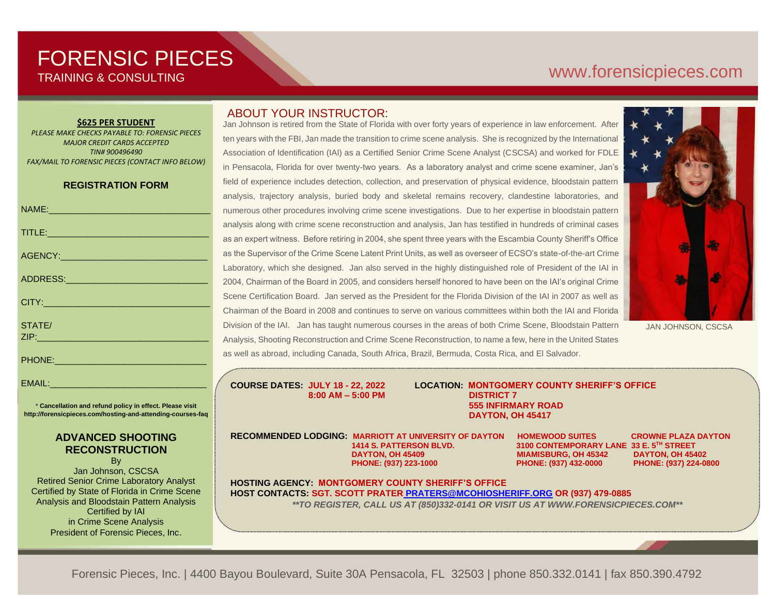## FORENSIC PIECES TRAINING & CONSULTING

# [www.forensicp](http://www.forensic/)ieces.com

#### **\$625 PER STUDENT**

*PLEASE MAKE CHECKS PAYABLE TO: FORENSIC PIECES MAJOR CREDIT CARDS ACCEPTED TIN# 900496490 FAX/MAIL TO FORENSIC PIECES (CONTACT INFO BELOW)*

#### **REGISTRATION FORM**

| NAME:____________________________                                                                                                                                                                                              |
|--------------------------------------------------------------------------------------------------------------------------------------------------------------------------------------------------------------------------------|
|                                                                                                                                                                                                                                |
| AGENCY: ACCOUNT AND ACCOUNT ACCOUNT ACCOUNT AND ACCOUNT ACCOUNT ACCOUNT ACCOUNT ACCOUNT ACCOUNT ACCOUNT ACCOUNT ACCOUNT ACCOUNT ACCOUNT ACCOUNT ACCOUNT ACCOUNT ACCOUNT ACCOUNT ACCOUNT ACCOUNT ACCOUNT ACCOUNT ACCOUNT ACCOUN |
|                                                                                                                                                                                                                                |
|                                                                                                                                                                                                                                |
| STATE/<br><u>ZIP: www.community.com</u>                                                                                                                                                                                        |
| PHONE: PHONE                                                                                                                                                                                                                   |

EMAIL:

\* **Cancellation and refund policy in effect. Please visit http://forensicpieces.com/hosting-and-attending-courses-faq**

### **ADVANCED SHOOTING RECONSTRUCTION**

By

Jan Johnson, CSCSA Retired Senior Crime Laboratory Analyst Certified by State of Florida in Crime Scene Analysis and Bloodstain Pattern Analysis Certified by IAI in Crime Scene Analysis President of Forensic Pieces, Inc.

### ABOUT YOUR INSTRUCTOR:

Jan Johnson is retired from the State of Florida with over forty years of experience in law enforcement. After ten years with the FBI, Jan made the transition to crime scene analysis. She is recognized by the International Association of Identification (IAI) as a Certified Senior Crime Scene Analyst (CSCSA) and worked for FDLE in Pensacola, Florida for over twenty-two years. As a laboratory analyst and crime scene examiner, Jan's field of experience includes detection, collection, and preservation of physical evidence, bloodstain pattern analysis, trajectory analysis, buried body and skeletal remains recovery, clandestine laboratories, and numerous other procedures involving crime scene investigations. Due to her expertise in bloodstain pattern analysis along with crime scene reconstruction and analysis, Jan has testified in hundreds of criminal cases as an expert witness. Before retiring in 2004, she spent three years with the Escambia County Sheriff's Office as the Supervisor of the Crime Scene Latent Print Units, as well as overseer of ECSO's state-of-the-art Crime Laboratory, which she designed. Jan also served in the highly distinguished role of President of the IAI in 2004, Chairman of the Board in 2005, and considers herself honored to have been on the IAI's original Crime Scene Certification Board. Jan served as the President for the Florida Division of the IAI in 2007 as well as Chairman of the Board in 2008 and continues to serve on various committees within both the IAI and Florida Division of the IAI. Jan has taught numerous courses in the areas of both Crime Scene, Bloodstain Pattern Analysis, Shooting Reconstruction and Crime Scene Reconstruction, to name a few, here in the United States as well as abroad, including Canada, South Africa, Brazil, Bermuda, Costa Rica, and El Salvador.

-lle Æ

JAN JOHNSON, CSCSA

**COURSE DATES: JULY 18 - 22, 2022 LOCATION: MONTGOMERY COUNTY SHERIFF'S OFFICE 8:00 AM – 5:00 PM DISTRICT 7 555 INFIRMARY ROAD DAYTON, OH 45417**

**RECOMMENDED LODGING: MARRIOTT AT UNIVERSITY OF DAYTON HOMEWOOD SUITES CROWNE PLAZA DAYTON 1414 S. PATTERSON BLVD. 3100 CONTEMPORARY LANE 33 E. 5TH STREET PHONE: (937) 223-1000 PHONE: (937) 432-0000 PHONE: (937) 224-0800**

**MIAMISBURG, OH 45342** 

**HOSTING AGENCY: MONTGOMERY COUNTY SHERIFF'S OFFICE HOST CONTACTS: SGT. SCOTT PRATER [PRATERS@MCOHIOSHERIFF.ORG](mailto:%20PRATERS@MCOHIOSHERIFF.ORG) OR (937) 479-0885** *\*\*TO REGISTER, CALL US AT (850)332-0141 OR VISIT US AT WWW.FORENSICPIECES.COM\*\**

Forensic Pieces, Inc. | 4400 Bayou Boulevard, Suite 30A Pensacola, FL 32503 | phone 850.332.0141 | fax 850.390.4792